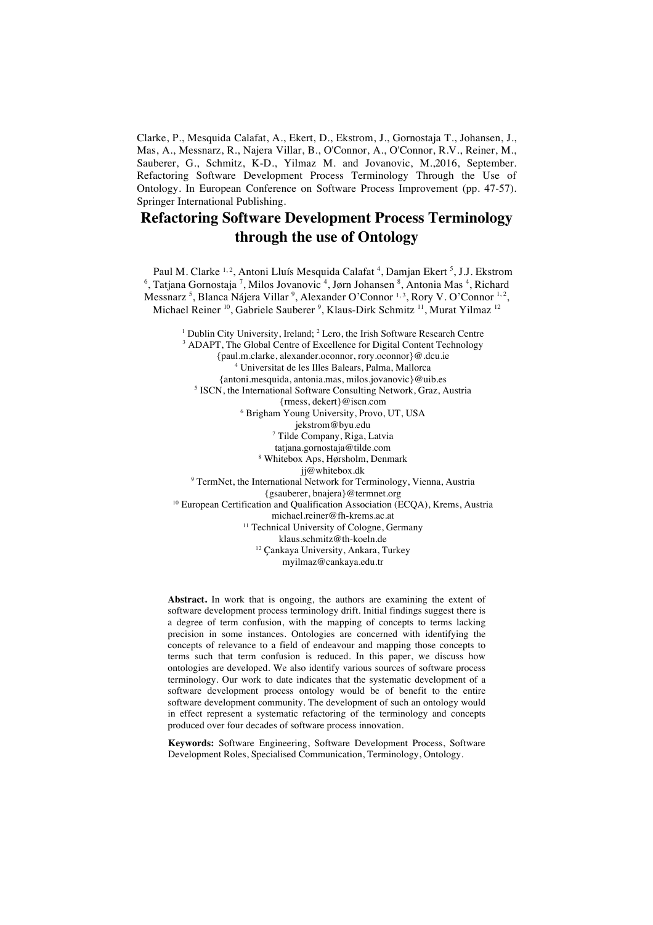Clarke, P., Mesquida Calafat, A., Ekert, D., Ekstrom, J., Gornostaja T., Johansen, J., Mas, A., Messnarz, R., Najera Villar, B., O'Connor, A., O'Connor, R.V., Reiner, M., Sauberer, G., Schmitz, K-D., Yilmaz M. and Jovanovic, M.,2016, September. Refactoring Software Development Process Terminology Through the Use of Ontology. In European Conference on Software Process Improvement (pp. 47-57). Springer International Publishing.

# **Refactoring Software Development Process Terminology through the use of Ontology**

Paul M. Clarke 1,2, Antoni Lluís Mesquida Calafat <sup>4</sup>, Damjan Ekert <sup>5</sup>, J.J. Ekstrom <sup>6</sup>, Tatjana Gornostaja <sup>7</sup>, Milos Jovanovic <sup>4</sup>, Jørn Johansen <sup>8</sup>, Antonia Mas <sup>4</sup>, Richard Messnarz<sup>5</sup>, Blanca Nájera Villar<sup>9</sup>, Alexander O'Connor<sup>1,3</sup>, Rory V. O'Connor<sup>1,2</sup>, Michael Reiner <sup>10</sup>, Gabriele Sauberer <sup>9</sup>, Klaus-Dirk Schmitz <sup>11</sup>, Murat Yilmaz <sup>12</sup>

<sup>1</sup> Dublin City University, Ireland;  $2$  Lero, the Irish Software Research Centre <sup>3</sup> ADAPT, The Global Centre of Excellence for Digital Content Technology {paul.m.clarke, alexander.oconnor, rory.oconnor}@.dcu.ie <sup>4</sup> Universitat de les Illes Balears, Palma, Mallorca {antoni.mesquida, antonia.mas, milos.jovanovic}@uib.es <sup>5</sup> ISCN, the International Software Consulting Network, Graz, Austria {rmess, dekert}@iscn.com <sup>6</sup> Brigham Young University, Provo, UT, USA jekstrom@byu.edu <sup>7</sup> Tilde Company, Riga, Latvia<br>tatiana.gornostaia@tilde.com <sup>8</sup> Whitebox Aps, Hørsholm, Denmark jj@whitebox.dk <sup>9</sup> TermNet, the International Network for Terminology, Vienna, Austria {gsauberer, bnajera}@termnet.org <sup>10</sup> European Certification and Qualification Association (ECQA), Krems, Austria michael.reiner@fh-krems.ac.at <sup>11</sup> Technical University of Cologne, Germany klaus.schmitz@th-koeln.de <sup>12</sup> Cankaya University, Ankara, Turkey myilmaz@cankaya.edu.tr

**Abstract.** In work that is ongoing, the authors are examining the extent of software development process terminology drift. Initial findings suggest there is a degree of term confusion, with the mapping of concepts to terms lacking precision in some instances. Ontologies are concerned with identifying the concepts of relevance to a field of endeavour and mapping those concepts to terms such that term confusion is reduced. In this paper, we discuss how ontologies are developed. We also identify various sources of software process terminology. Our work to date indicates that the systematic development of a software development process ontology would be of benefit to the entire software development community. The development of such an ontology would in effect represent a systematic refactoring of the terminology and concepts produced over four decades of software process innovation.

**Keywords:** Software Engineering, Software Development Process, Software Development Roles, Specialised Communication, Terminology, Ontology.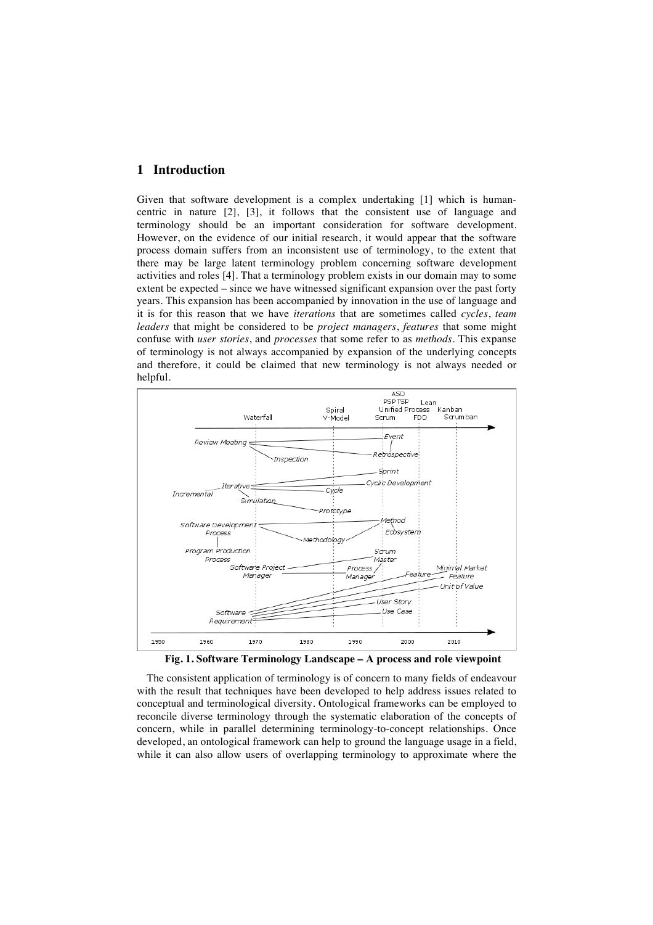#### **1 Introduction**

Given that software development is a complex undertaking [1] which is humancentric in nature [2], [3], it follows that the consistent use of language and terminology should be an important consideration for software development. However, on the evidence of our initial research, it would appear that the software process domain suffers from an inconsistent use of terminology, to the extent that there may be large latent terminology problem concerning software development activities and roles [4]. That a terminology problem exists in our domain may to some extent be expected – since we have witnessed significant expansion over the past forty years. This expansion has been accompanied by innovation in the use of language and it is for this reason that we have *iterations* that are sometimes called *cycles*, *team leaders* that might be considered to be *project managers*, *features* that some might confuse with *user stories*, and *processes* that some refer to as *methods*. This expanse of terminology is not always accompanied by expansion of the underlying concepts and therefore, it could be claimed that new terminology is not always needed or helpful.



**Fig. 1. Software Terminology Landscape – A process and role viewpoint**

The consistent application of terminology is of concern to many fields of endeavour with the result that techniques have been developed to help address issues related to conceptual and terminological diversity. Ontological frameworks can be employed to reconcile diverse terminology through the systematic elaboration of the concepts of concern, while in parallel determining terminology-to-concept relationships. Once developed, an ontological framework can help to ground the language usage in a field, while it can also allow users of overlapping terminology to approximate where the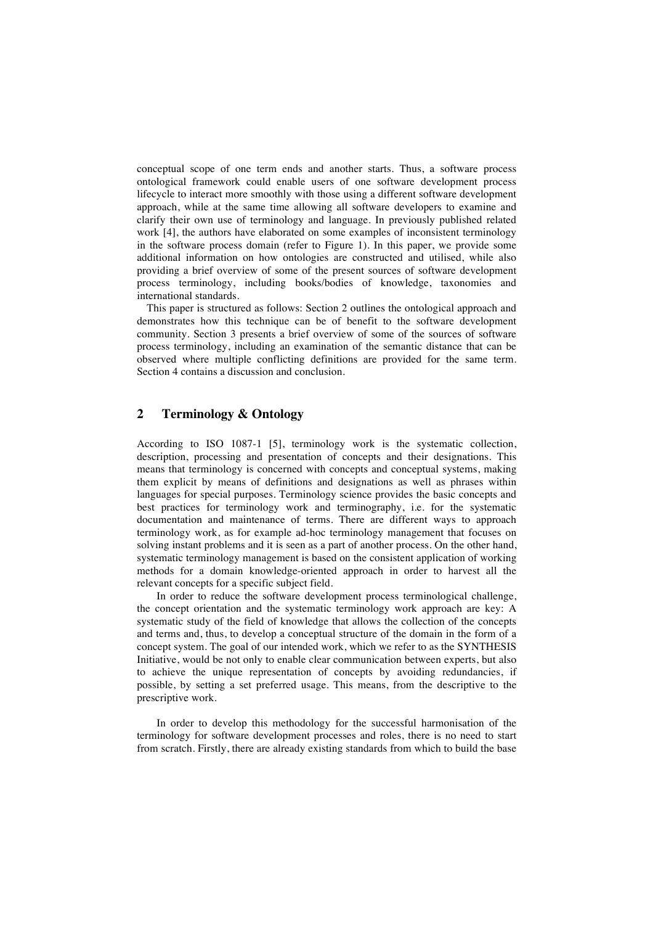conceptual scope of one term ends and another starts. Thus, a software process ontological framework could enable users of one software development process lifecycle to interact more smoothly with those using a different software development approach, while at the same time allowing all software developers to examine and clarify their own use of terminology and language. In previously published related work [4], the authors have elaborated on some examples of inconsistent terminology in the software process domain (refer to Figure 1). In this paper, we provide some additional information on how ontologies are constructed and utilised, while also providing a brief overview of some of the present sources of software development process terminology, including books/bodies of knowledge, taxonomies and international standards.

This paper is structured as follows: Section 2 outlines the ontological approach and demonstrates how this technique can be of benefit to the software development community. Section 3 presents a brief overview of some of the sources of software process terminology, including an examination of the semantic distance that can be observed where multiple conflicting definitions are provided for the same term. Section 4 contains a discussion and conclusion.

## **2 Terminology & Ontology**

According to ISO 1087-1 [5], terminology work is the systematic collection, description, processing and presentation of concepts and their designations. This means that terminology is concerned with concepts and conceptual systems, making them explicit by means of definitions and designations as well as phrases within languages for special purposes. Terminology science provides the basic concepts and best practices for terminology work and terminography, i.e. for the systematic documentation and maintenance of terms. There are different ways to approach terminology work, as for example ad-hoc terminology management that focuses on solving instant problems and it is seen as a part of another process. On the other hand, systematic terminology management is based on the consistent application of working methods for a domain knowledge-oriented approach in order to harvest all the relevant concepts for a specific subject field.

In order to reduce the software development process terminological challenge, the concept orientation and the systematic terminology work approach are key: A systematic study of the field of knowledge that allows the collection of the concepts and terms and, thus, to develop a conceptual structure of the domain in the form of a concept system. The goal of our intended work, which we refer to as the SYNTHESIS Initiative, would be not only to enable clear communication between experts, but also to achieve the unique representation of concepts by avoiding redundancies, if possible, by setting a set preferred usage. This means, from the descriptive to the prescriptive work.

In order to develop this methodology for the successful harmonisation of the terminology for software development processes and roles, there is no need to start from scratch. Firstly, there are already existing standards from which to build the base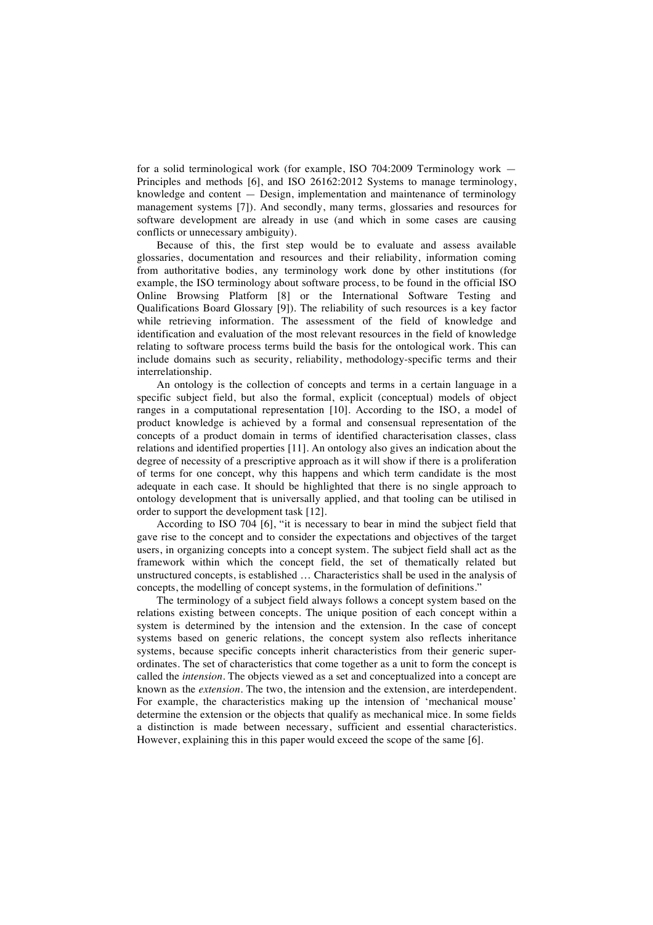for a solid terminological work (for example, ISO 704:2009 Terminology work — Principles and methods [6], and ISO 26162:2012 Systems to manage terminology, knowledge and content — Design, implementation and maintenance of terminology management systems [7]). And secondly, many terms, glossaries and resources for software development are already in use (and which in some cases are causing conflicts or unnecessary ambiguity).

Because of this, the first step would be to evaluate and assess available glossaries, documentation and resources and their reliability, information coming from authoritative bodies, any terminology work done by other institutions (for example, the ISO terminology about software process, to be found in the official ISO Online Browsing Platform [8] or the International Software Testing and Qualifications Board Glossary [9]). The reliability of such resources is a key factor while retrieving information. The assessment of the field of knowledge and identification and evaluation of the most relevant resources in the field of knowledge relating to software process terms build the basis for the ontological work. This can include domains such as security, reliability, methodology-specific terms and their interrelationship.

An ontology is the collection of concepts and terms in a certain language in a specific subject field, but also the formal, explicit (conceptual) models of object ranges in a computational representation [10]. According to the ISO, a model of product knowledge is achieved by a formal and consensual representation of the concepts of a product domain in terms of identified characterisation classes, class relations and identified properties [11]. An ontology also gives an indication about the degree of necessity of a prescriptive approach as it will show if there is a proliferation of terms for one concept, why this happens and which term candidate is the most adequate in each case. It should be highlighted that there is no single approach to ontology development that is universally applied, and that tooling can be utilised in order to support the development task [12].

According to ISO 704 [6], "it is necessary to bear in mind the subject field that gave rise to the concept and to consider the expectations and objectives of the target users, in organizing concepts into a concept system. The subject field shall act as the framework within which the concept field, the set of thematically related but unstructured concepts, is established … Characteristics shall be used in the analysis of concepts, the modelling of concept systems, in the formulation of definitions."

The terminology of a subject field always follows a concept system based on the relations existing between concepts. The unique position of each concept within a system is determined by the intension and the extension. In the case of concept systems based on generic relations, the concept system also reflects inheritance systems, because specific concepts inherit characteristics from their generic superordinates. The set of characteristics that come together as a unit to form the concept is called the *intension*. The objects viewed as a set and conceptualized into a concept are known as the *extension*. The two, the intension and the extension, are interdependent. For example, the characteristics making up the intension of 'mechanical mouse' determine the extension or the objects that qualify as mechanical mice. In some fields a distinction is made between necessary, sufficient and essential characteristics. However, explaining this in this paper would exceed the scope of the same [6].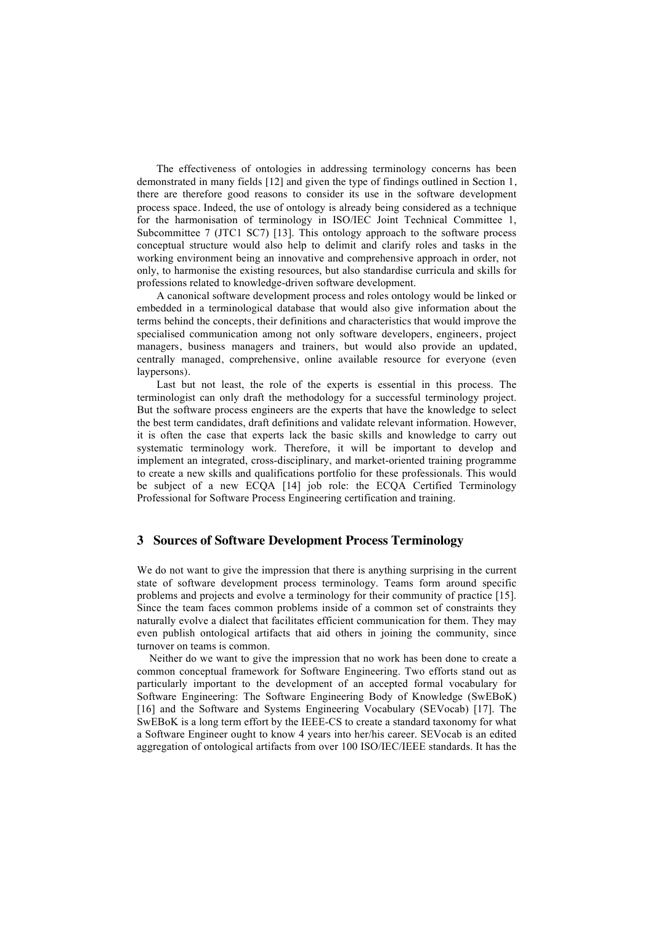The effectiveness of ontologies in addressing terminology concerns has been demonstrated in many fields [12] and given the type of findings outlined in Section 1, there are therefore good reasons to consider its use in the software development process space. Indeed, the use of ontology is already being considered as a technique for the harmonisation of terminology in ISO/IEC Joint Technical Committee 1, Subcommittee 7 (JTC1 SC7) [13]. This ontology approach to the software process conceptual structure would also help to delimit and clarify roles and tasks in the working environment being an innovative and comprehensive approach in order, not only, to harmonise the existing resources, but also standardise curricula and skills for professions related to knowledge-driven software development.

A canonical software development process and roles ontology would be linked or embedded in a terminological database that would also give information about the terms behind the concepts, their definitions and characteristics that would improve the specialised communication among not only software developers, engineers, project managers, business managers and trainers, but would also provide an updated, centrally managed, comprehensive, online available resource for everyone (even laypersons).

Last but not least, the role of the experts is essential in this process. The terminologist can only draft the methodology for a successful terminology project. But the software process engineers are the experts that have the knowledge to select the best term candidates, draft definitions and validate relevant information. However, it is often the case that experts lack the basic skills and knowledge to carry out systematic terminology work. Therefore, it will be important to develop and implement an integrated, cross-disciplinary, and market-oriented training programme to create a new skills and qualifications portfolio for these professionals. This would be subject of a new ECQA [14] job role: the ECQA Certified Terminology Professional for Software Process Engineering certification and training.

### **3 Sources of Software Development Process Terminology**

We do not want to give the impression that there is anything surprising in the current state of software development process terminology. Teams form around specific problems and projects and evolve a terminology for their community of practice [15]. Since the team faces common problems inside of a common set of constraints they naturally evolve a dialect that facilitates efficient communication for them. They may even publish ontological artifacts that aid others in joining the community, since turnover on teams is common.

Neither do we want to give the impression that no work has been done to create a common conceptual framework for Software Engineering. Two efforts stand out as particularly important to the development of an accepted formal vocabulary for Software Engineering: The Software Engineering Body of Knowledge (SwEBoK) [16] and the Software and Systems Engineering Vocabulary (SEVocab) [17]. The SwEBoK is a long term effort by the IEEE-CS to create a standard taxonomy for what a Software Engineer ought to know 4 years into her/his career. SEVocab is an edited aggregation of ontological artifacts from over 100 ISO/IEC/IEEE standards. It has the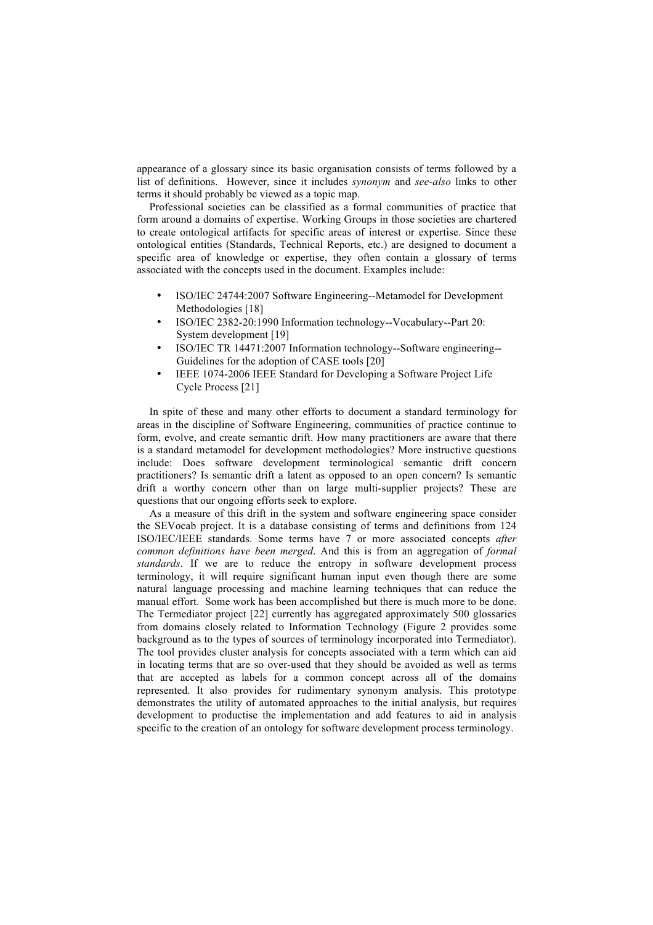appearance of a glossary since its basic organisation consists of terms followed by a list of definitions. However, since it includes *synonym* and *see-also* links to other terms it should probably be viewed as a topic map.

Professional societies can be classified as a formal communities of practice that form around a domains of expertise. Working Groups in those societies are chartered to create ontological artifacts for specific areas of interest or expertise. Since these ontological entities (Standards, Technical Reports, etc.) are designed to document a specific area of knowledge or expertise, they often contain a glossary of terms associated with the concepts used in the document. Examples include:

- ISO/IEC 24744:2007 Software Engineering--Metamodel for Development Methodologies [18]
- ISO/IEC 2382-20:1990 Information technology--Vocabulary--Part 20: System development [19]
- ISO/IEC TR 14471:2007 Information technology--Software engineering-- Guidelines for the adoption of CASE tools [20]
- IEEE 1074-2006 IEEE Standard for Developing a Software Project Life Cycle Process [21]

In spite of these and many other efforts to document a standard terminology for areas in the discipline of Software Engineering, communities of practice continue to form, evolve, and create semantic drift. How many practitioners are aware that there is a standard metamodel for development methodologies? More instructive questions include: Does software development terminological semantic drift concern practitioners? Is semantic drift a latent as opposed to an open concern? Is semantic drift a worthy concern other than on large multi-supplier projects? These are questions that our ongoing efforts seek to explore.

As a measure of this drift in the system and software engineering space consider the SEVocab project. It is a database consisting of terms and definitions from 124 ISO/IEC/IEEE standards. Some terms have 7 or more associated concepts *after common definitions have been merged*. And this is from an aggregation of *formal standards*. If we are to reduce the entropy in software development process terminology, it will require significant human input even though there are some natural language processing and machine learning techniques that can reduce the manual effort. Some work has been accomplished but there is much more to be done. The Termediator project [22] currently has aggregated approximately 500 glossaries from domains closely related to Information Technology (Figure 2 provides some background as to the types of sources of terminology incorporated into Termediator). The tool provides cluster analysis for concepts associated with a term which can aid in locating terms that are so over-used that they should be avoided as well as terms that are accepted as labels for a common concept across all of the domains represented. It also provides for rudimentary synonym analysis. This prototype demonstrates the utility of automated approaches to the initial analysis, but requires development to productise the implementation and add features to aid in analysis specific to the creation of an ontology for software development process terminology.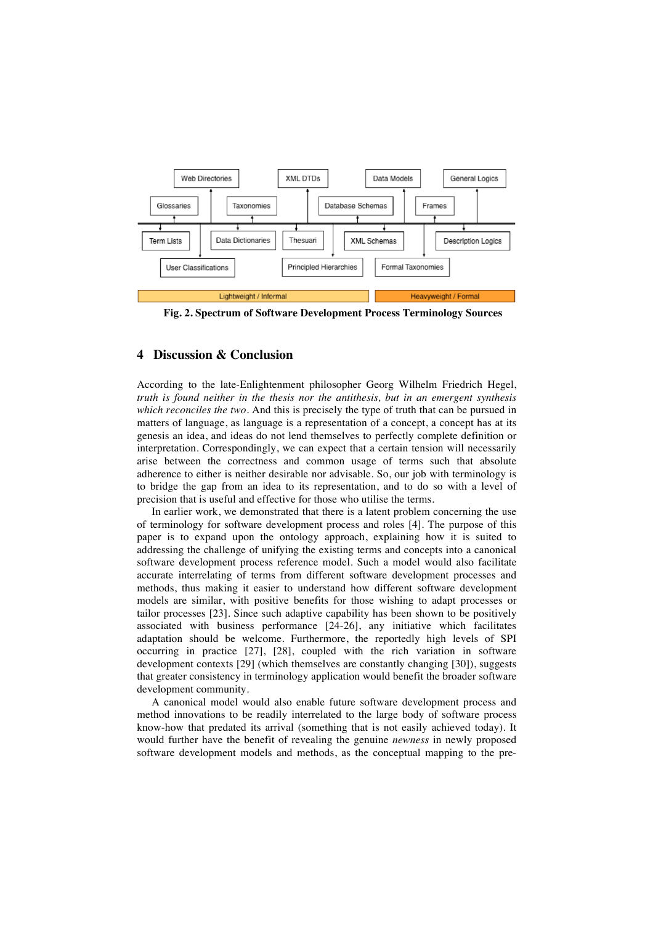

**Fig. 2. Spectrum of Software Development Process Terminology Sources**

#### **4 Discussion & Conclusion**

According to the late-Enlightenment philosopher Georg Wilhelm Friedrich Hegel, *truth is found neither in the thesis nor the antithesis, but in an emergent synthesis which reconciles the two*. And this is precisely the type of truth that can be pursued in matters of language, as language is a representation of a concept, a concept has at its genesis an idea, and ideas do not lend themselves to perfectly complete definition or interpretation. Correspondingly, we can expect that a certain tension will necessarily arise between the correctness and common usage of terms such that absolute adherence to either is neither desirable nor advisable. So, our job with terminology is to bridge the gap from an idea to its representation, and to do so with a level of precision that is useful and effective for those who utilise the terms.

In earlier work, we demonstrated that there is a latent problem concerning the use of terminology for software development process and roles [4]. The purpose of this paper is to expand upon the ontology approach, explaining how it is suited to addressing the challenge of unifying the existing terms and concepts into a canonical software development process reference model. Such a model would also facilitate accurate interrelating of terms from different software development processes and methods, thus making it easier to understand how different software development models are similar, with positive benefits for those wishing to adapt processes or tailor processes [23]. Since such adaptive capability has been shown to be positively associated with business performance [24-26], any initiative which facilitates adaptation should be welcome. Furthermore, the reportedly high levels of SPI occurring in practice [27], [28], coupled with the rich variation in software development contexts [29] (which themselves are constantly changing [30]), suggests that greater consistency in terminology application would benefit the broader software development community.

A canonical model would also enable future software development process and method innovations to be readily interrelated to the large body of software process know-how that predated its arrival (something that is not easily achieved today). It would further have the benefit of revealing the genuine *newness* in newly proposed software development models and methods, as the conceptual mapping to the pre-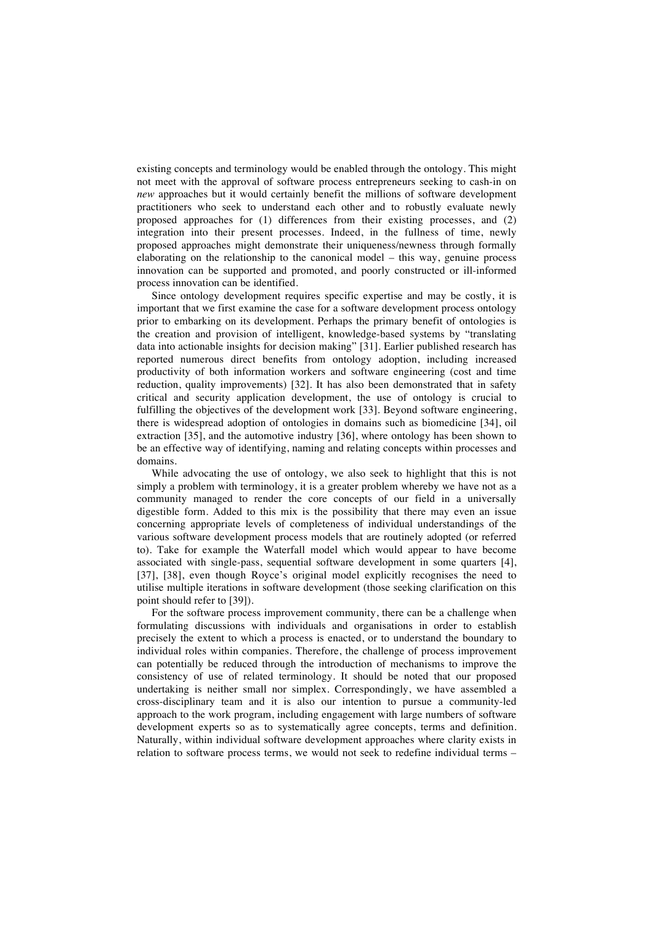existing concepts and terminology would be enabled through the ontology. This might not meet with the approval of software process entrepreneurs seeking to cash-in on *new* approaches but it would certainly benefit the millions of software development practitioners who seek to understand each other and to robustly evaluate newly proposed approaches for (1) differences from their existing processes, and (2) integration into their present processes. Indeed, in the fullness of time, newly proposed approaches might demonstrate their uniqueness/newness through formally elaborating on the relationship to the canonical model – this way, genuine process innovation can be supported and promoted, and poorly constructed or ill-informed process innovation can be identified.

Since ontology development requires specific expertise and may be costly, it is important that we first examine the case for a software development process ontology prior to embarking on its development. Perhaps the primary benefit of ontologies is the creation and provision of intelligent, knowledge-based systems by "translating data into actionable insights for decision making" [31]. Earlier published research has reported numerous direct benefits from ontology adoption, including increased productivity of both information workers and software engineering (cost and time reduction, quality improvements) [32]. It has also been demonstrated that in safety critical and security application development, the use of ontology is crucial to fulfilling the objectives of the development work [33]. Beyond software engineering, there is widespread adoption of ontologies in domains such as biomedicine [34], oil extraction [35], and the automotive industry [36], where ontology has been shown to be an effective way of identifying, naming and relating concepts within processes and domains.

While advocating the use of ontology, we also seek to highlight that this is not simply a problem with terminology, it is a greater problem whereby we have not as a community managed to render the core concepts of our field in a universally digestible form. Added to this mix is the possibility that there may even an issue concerning appropriate levels of completeness of individual understandings of the various software development process models that are routinely adopted (or referred to). Take for example the Waterfall model which would appear to have become associated with single-pass, sequential software development in some quarters [4], [37], [38], even though Royce's original model explicitly recognises the need to utilise multiple iterations in software development (those seeking clarification on this point should refer to [39]).

For the software process improvement community, there can be a challenge when formulating discussions with individuals and organisations in order to establish precisely the extent to which a process is enacted, or to understand the boundary to individual roles within companies. Therefore, the challenge of process improvement can potentially be reduced through the introduction of mechanisms to improve the consistency of use of related terminology. It should be noted that our proposed undertaking is neither small nor simplex. Correspondingly, we have assembled a cross-disciplinary team and it is also our intention to pursue a community-led approach to the work program, including engagement with large numbers of software development experts so as to systematically agree concepts, terms and definition. Naturally, within individual software development approaches where clarity exists in relation to software process terms, we would not seek to redefine individual terms –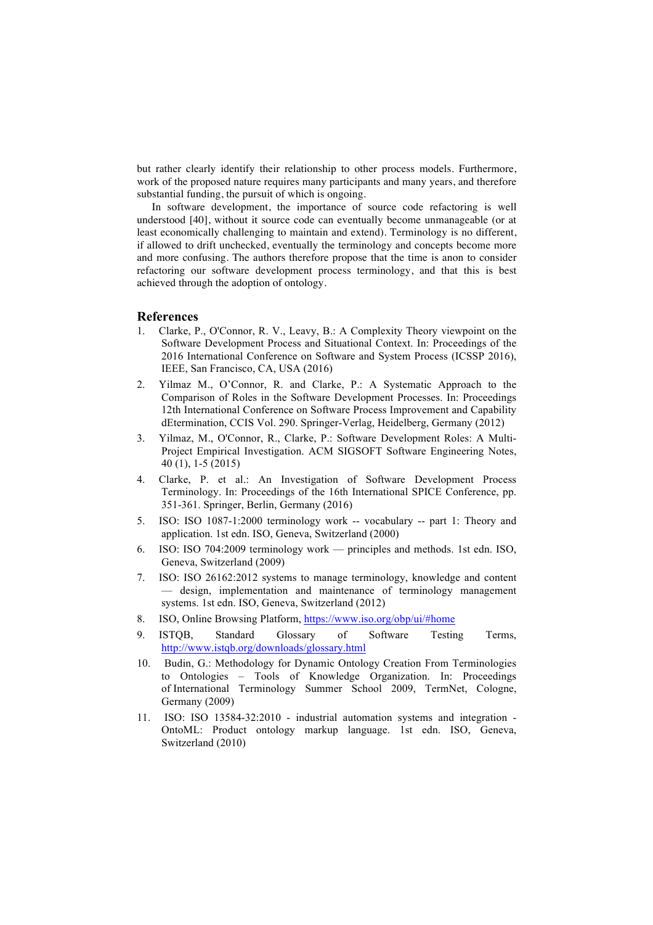but rather clearly identify their relationship to other process models. Furthermore, work of the proposed nature requires many participants and many years, and therefore substantial funding, the pursuit of which is ongoing.

In software development, the importance of source code refactoring is well understood [40], without it source code can eventually become unmanageable (or at least economically challenging to maintain and extend). Terminology is no different, if allowed to drift unchecked, eventually the terminology and concepts become more and more confusing. The authors therefore propose that the time is anon to consider refactoring our software development process terminology, and that this is best achieved through the adoption of ontology.

#### **References**

- 1. Clarke, P., O'Connor, R. V., Leavy, B.: A Complexity Theory viewpoint on the Software Development Process and Situational Context. In: Proceedings of the 2016 International Conference on Software and System Process (ICSSP 2016), IEEE, San Francisco, CA, USA (2016)
- 2. Yilmaz M., O'Connor, R. and Clarke, P.: A Systematic Approach to the Comparison of Roles in the Software Development Processes. In: Proceedings 12th International Conference on Software Process Improvement and Capability dEtermination, CCIS Vol. 290. Springer-Verlag, Heidelberg, Germany (2012)
- 3. Yilmaz, M., O'Connor, R., Clarke, P.: Software Development Roles: A Multi-Project Empirical Investigation. ACM SIGSOFT Software Engineering Notes, 40 (1), 1-5 (2015)
- 4. Clarke, P. et al.: An Investigation of Software Development Process Terminology. In: Proceedings of the 16th International SPICE Conference, pp. 351-361. Springer, Berlin, Germany (2016)
- 5. ISO: ISO 1087-1:2000 terminology work -- vocabulary -- part 1: Theory and application. 1st edn. ISO, Geneva, Switzerland (2000)
- 6. ISO: ISO 704:2009 terminology work principles and methods. 1st edn. ISO, Geneva, Switzerland (2009)
- 7. ISO: ISO 26162:2012 systems to manage terminology, knowledge and content — design, implementation and maintenance of terminology management systems. 1st edn. ISO, Geneva, Switzerland (2012)
- 8. ISO, Online Browsing Platform, https://www.iso.org/obp/ui/#home
- 9. ISTQB, Standard Glossary of Software Testing Terms, http://www.istqb.org/downloads/glossary.html
- 10. Budin, G.: Methodology for Dynamic Ontology Creation From Terminologies to Ontologies – Tools of Knowledge Organization. In: Proceedings of International Terminology Summer School 2009, TermNet, Cologne, Germany (2009)
- 11. ISO: ISO 13584-32:2010 industrial automation systems and integration OntoML: Product ontology markup language. 1st edn. ISO, Geneva, Switzerland (2010)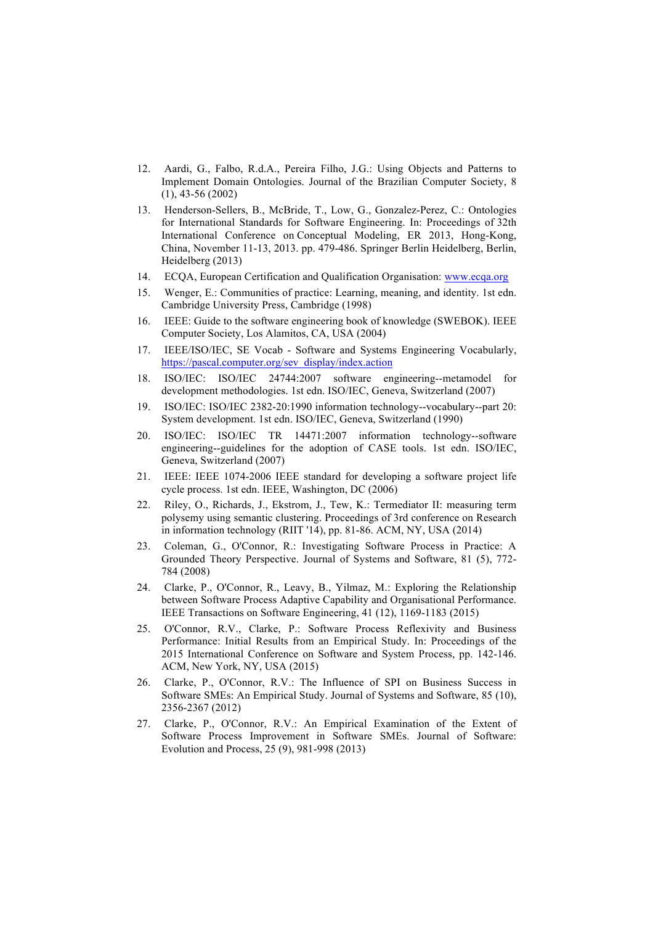- 12. Aardi, G., Falbo, R.d.A., Pereira Filho, J.G.: Using Objects and Patterns to Implement Domain Ontologies. Journal of the Brazilian Computer Society, 8 (1), 43-56 (2002)
- 13. Henderson-Sellers, B., McBride, T., Low, G., Gonzalez-Perez, C.: Ontologies for International Standards for Software Engineering. In: Proceedings of 32th International Conference on Conceptual Modeling, ER 2013, Hong-Kong, China, November 11-13, 2013. pp. 479-486. Springer Berlin Heidelberg, Berlin, Heidelberg (2013)
- 14. ECQA, European Certification and Qualification Organisation: www.ecqa.org
- 15. Wenger, E.: Communities of practice: Learning, meaning, and identity. 1st edn. Cambridge University Press, Cambridge (1998)
- 16. IEEE: Guide to the software engineering book of knowledge (SWEBOK). IEEE Computer Society, Los Alamitos, CA, USA (2004)
- 17. IEEE/ISO/IEC, SE Vocab Software and Systems Engineering Vocabularly, https://pascal.computer.org/sev\_display/index.action
- 18. ISO/IEC: ISO/IEC 24744:2007 software engineering--metamodel for development methodologies. 1st edn. ISO/IEC, Geneva, Switzerland (2007)
- 19. ISO/IEC: ISO/IEC 2382-20:1990 information technology--vocabulary--part 20: System development. 1st edn. ISO/IEC, Geneva, Switzerland (1990)
- 20. ISO/IEC: ISO/IEC TR 14471:2007 information technology--software engineering--guidelines for the adoption of CASE tools. 1st edn. ISO/IEC, Geneva, Switzerland (2007)
- 21. IEEE: IEEE 1074-2006 IEEE standard for developing a software project life cycle process. 1st edn. IEEE, Washington, DC (2006)
- 22. Riley, O., Richards, J., Ekstrom, J., Tew, K.: Termediator II: measuring term polysemy using semantic clustering. Proceedings of 3rd conference on Research in information technology (RIIT '14), pp. 81-86. ACM, NY, USA (2014)
- 23. Coleman, G., O'Connor, R.: Investigating Software Process in Practice: A Grounded Theory Perspective. Journal of Systems and Software, 81 (5), 772- 784 (2008)
- 24. Clarke, P., O'Connor, R., Leavy, B., Yilmaz, M.: Exploring the Relationship between Software Process Adaptive Capability and Organisational Performance. IEEE Transactions on Software Engineering, 41 (12), 1169-1183 (2015)
- 25. O'Connor, R.V., Clarke, P.: Software Process Reflexivity and Business Performance: Initial Results from an Empirical Study. In: Proceedings of the 2015 International Conference on Software and System Process, pp. 142-146. ACM, New York, NY, USA (2015)
- 26. Clarke, P., O'Connor, R.V.: The Influence of SPI on Business Success in Software SMEs: An Empirical Study. Journal of Systems and Software, 85 (10), 2356-2367 (2012)
- 27. Clarke, P., O'Connor, R.V.: An Empirical Examination of the Extent of Software Process Improvement in Software SMEs. Journal of Software: Evolution and Process, 25 (9), 981-998 (2013)